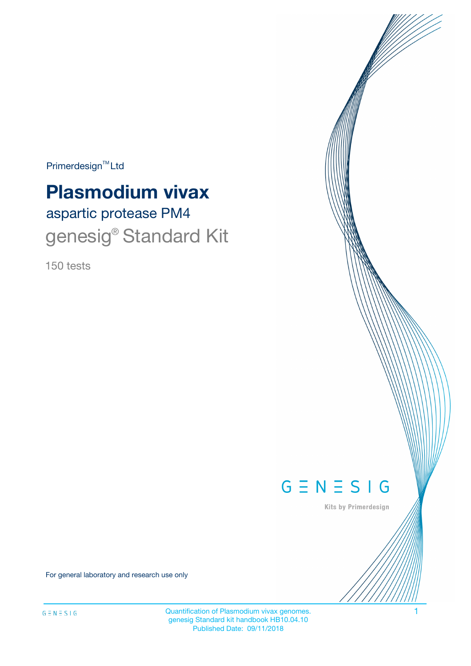$Primerdesign^{\text{TM}}Ltd$ 

# aspartic protease PM4 **Plasmodium vivax** genesig<sup>®</sup> Standard Kit

150 tests



Kits by Primerdesign

For general laboratory and research use only

Quantification of Plasmodium vivax genomes. 1 genesig Standard kit handbook HB10.04.10 Published Date: 09/11/2018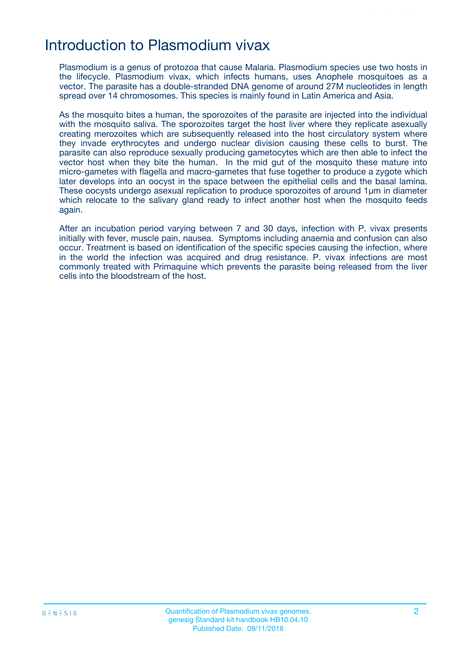## Introduction to Plasmodium vivax

Plasmodium is a genus of protozoa that cause Malaria. Plasmodium species use two hosts in the lifecycle. Plasmodium vivax, which infects humans, uses Anophele mosquitoes as a vector. The parasite has a double-stranded DNA genome of around 27M nucleotides in length spread over 14 chromosomes. This species is mainly found in Latin America and Asia.

As the mosquito bites a human, the sporozoites of the parasite are injected into the individual with the mosquito saliva. The sporozoites target the host liver where they replicate asexually creating merozoites which are subsequently released into the host circulatory system where they invade erythrocytes and undergo nuclear division causing these cells to burst. The parasite can also reproduce sexually producing gametocytes which are then able to infect the vector host when they bite the human. In the mid gut of the mosquito these mature into micro-gametes with flagella and macro-gametes that fuse together to produce a zygote which later develops into an oocyst in the space between the epithelial cells and the basal lamina. These oocysts undergo asexual replication to produce sporozoites of around 1µm in diameter which relocate to the salivary gland ready to infect another host when the mosquito feeds again.

After an incubation period varying between 7 and 30 days, infection with P. vivax presents initially with fever, muscle pain, nausea. Symptoms including anaemia and confusion can also occur. Treatment is based on identification of the specific species causing the infection, where in the world the infection was acquired and drug resistance. P. vivax infections are most commonly treated with Primaquine which prevents the parasite being released from the liver cells into the bloodstream of the host.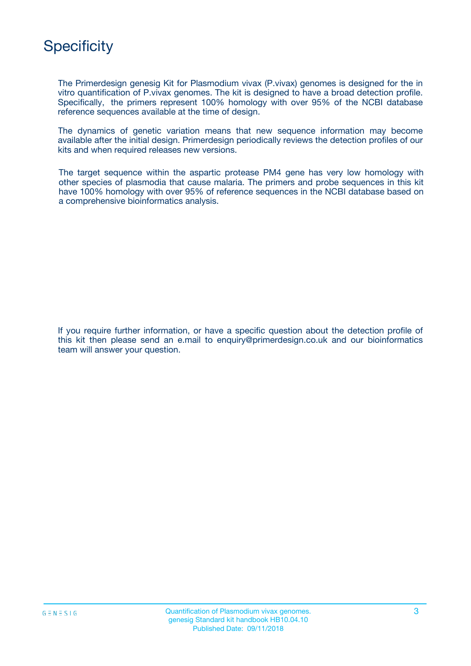# **Specificity**

The Primerdesign genesig Kit for Plasmodium vivax (P.vivax) genomes is designed for the in vitro quantification of P.vivax genomes. The kit is designed to have a broad detection profile. Specifically, the primers represent 100% homology with over 95% of the NCBI database reference sequences available at the time of design.

The dynamics of genetic variation means that new sequence information may become available after the initial design. Primerdesign periodically reviews the detection profiles of our kits and when required releases new versions.

The target sequence within the aspartic protease PM4 gene has very low homology with other species of plasmodia that cause malaria. The primers and probe sequences in this kit have 100% homology with over 95% of reference sequences in the NCBI database based on a comprehensive bioinformatics analysis.

If you require further information, or have a specific question about the detection profile of this kit then please send an e.mail to enquiry@primerdesign.co.uk and our bioinformatics team will answer your question.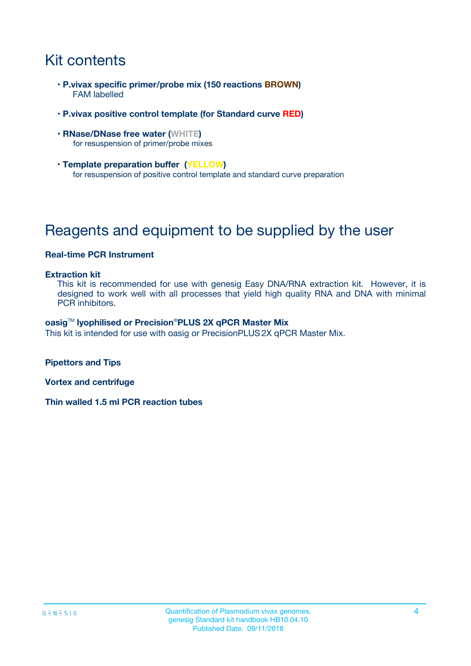# Kit contents

- **P.vivax specific primer/probe mix (150 reactions BROWN)** FAM labelled
- **P.vivax positive control template (for Standard curve RED)**
- **RNase/DNase free water (WHITE)** for resuspension of primer/probe mixes
- **Template preparation buffer (YELLOW)** for resuspension of positive control template and standard curve preparation

# Reagents and equipment to be supplied by the user

#### **Real-time PCR Instrument**

#### **Extraction kit**

This kit is recommended for use with genesig Easy DNA/RNA extraction kit. However, it is designed to work well with all processes that yield high quality RNA and DNA with minimal PCR inhibitors.

#### **oasig**TM **lyophilised or Precision**®**PLUS 2X qPCR Master Mix**

This kit is intended for use with oasig or PrecisionPLUS2X qPCR Master Mix.

**Pipettors and Tips**

**Vortex and centrifuge**

**Thin walled 1.5 ml PCR reaction tubes**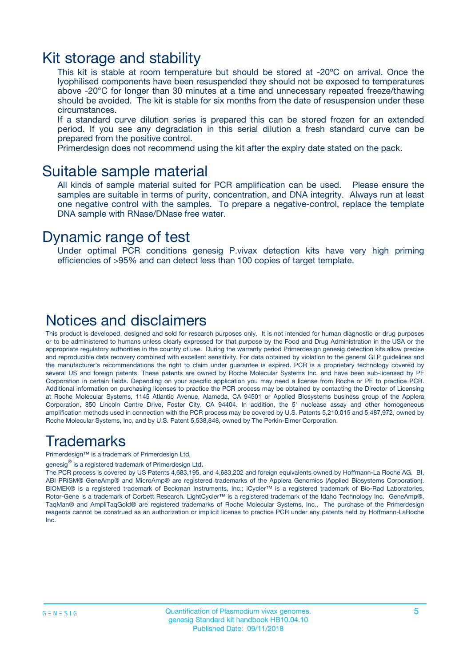### Kit storage and stability

This kit is stable at room temperature but should be stored at -20ºC on arrival. Once the lyophilised components have been resuspended they should not be exposed to temperatures above -20°C for longer than 30 minutes at a time and unnecessary repeated freeze/thawing should be avoided. The kit is stable for six months from the date of resuspension under these circumstances.

If a standard curve dilution series is prepared this can be stored frozen for an extended period. If you see any degradation in this serial dilution a fresh standard curve can be prepared from the positive control.

Primerdesign does not recommend using the kit after the expiry date stated on the pack.

### Suitable sample material

All kinds of sample material suited for PCR amplification can be used. Please ensure the samples are suitable in terms of purity, concentration, and DNA integrity. Always run at least one negative control with the samples. To prepare a negative-control, replace the template DNA sample with RNase/DNase free water.

### Dynamic range of test

Under optimal PCR conditions genesig P.vivax detection kits have very high priming efficiencies of >95% and can detect less than 100 copies of target template.

### Notices and disclaimers

This product is developed, designed and sold for research purposes only. It is not intended for human diagnostic or drug purposes or to be administered to humans unless clearly expressed for that purpose by the Food and Drug Administration in the USA or the appropriate regulatory authorities in the country of use. During the warranty period Primerdesign genesig detection kits allow precise and reproducible data recovery combined with excellent sensitivity. For data obtained by violation to the general GLP guidelines and the manufacturer's recommendations the right to claim under guarantee is expired. PCR is a proprietary technology covered by several US and foreign patents. These patents are owned by Roche Molecular Systems Inc. and have been sub-licensed by PE Corporation in certain fields. Depending on your specific application you may need a license from Roche or PE to practice PCR. Additional information on purchasing licenses to practice the PCR process may be obtained by contacting the Director of Licensing at Roche Molecular Systems, 1145 Atlantic Avenue, Alameda, CA 94501 or Applied Biosystems business group of the Applera Corporation, 850 Lincoln Centre Drive, Foster City, CA 94404. In addition, the 5' nuclease assay and other homogeneous amplification methods used in connection with the PCR process may be covered by U.S. Patents 5,210,015 and 5,487,972, owned by Roche Molecular Systems, Inc, and by U.S. Patent 5,538,848, owned by The Perkin-Elmer Corporation.

### Trademarks

Primerdesign™ is a trademark of Primerdesign Ltd.

genesig $^\circledR$  is a registered trademark of Primerdesign Ltd.

The PCR process is covered by US Patents 4,683,195, and 4,683,202 and foreign equivalents owned by Hoffmann-La Roche AG. BI, ABI PRISM® GeneAmp® and MicroAmp® are registered trademarks of the Applera Genomics (Applied Biosystems Corporation). BIOMEK® is a registered trademark of Beckman Instruments, Inc.; iCycler™ is a registered trademark of Bio-Rad Laboratories, Rotor-Gene is a trademark of Corbett Research. LightCycler™ is a registered trademark of the Idaho Technology Inc. GeneAmp®, TaqMan® and AmpliTaqGold® are registered trademarks of Roche Molecular Systems, Inc., The purchase of the Primerdesign reagents cannot be construed as an authorization or implicit license to practice PCR under any patents held by Hoffmann-LaRoche Inc.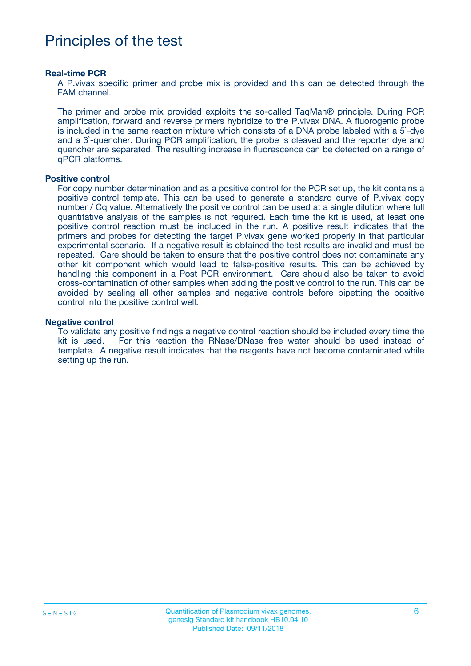## Principles of the test

#### **Real-time PCR**

A P.vivax specific primer and probe mix is provided and this can be detected through the FAM channel.

The primer and probe mix provided exploits the so-called TaqMan® principle. During PCR amplification, forward and reverse primers hybridize to the P.vivax DNA. A fluorogenic probe is included in the same reaction mixture which consists of a DNA probe labeled with a 5`-dye and a 3`-quencher. During PCR amplification, the probe is cleaved and the reporter dye and quencher are separated. The resulting increase in fluorescence can be detected on a range of qPCR platforms.

#### **Positive control**

For copy number determination and as a positive control for the PCR set up, the kit contains a positive control template. This can be used to generate a standard curve of P.vivax copy number / Cq value. Alternatively the positive control can be used at a single dilution where full quantitative analysis of the samples is not required. Each time the kit is used, at least one positive control reaction must be included in the run. A positive result indicates that the primers and probes for detecting the target P.vivax gene worked properly in that particular experimental scenario. If a negative result is obtained the test results are invalid and must be repeated. Care should be taken to ensure that the positive control does not contaminate any other kit component which would lead to false-positive results. This can be achieved by handling this component in a Post PCR environment. Care should also be taken to avoid cross-contamination of other samples when adding the positive control to the run. This can be avoided by sealing all other samples and negative controls before pipetting the positive control into the positive control well.

#### **Negative control**

To validate any positive findings a negative control reaction should be included every time the kit is used. For this reaction the RNase/DNase free water should be used instead of template. A negative result indicates that the reagents have not become contaminated while setting up the run.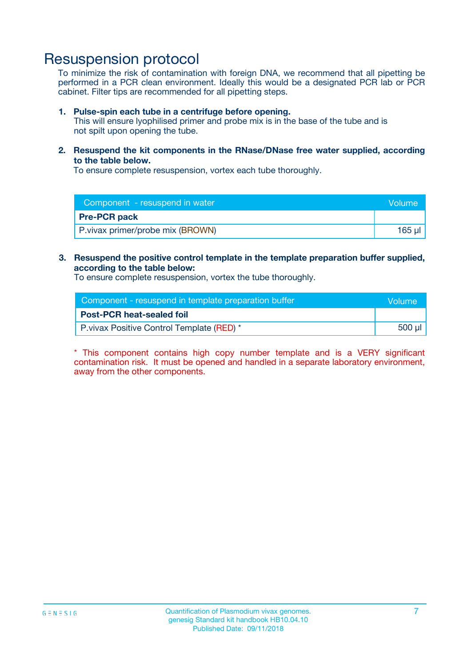### Resuspension protocol

To minimize the risk of contamination with foreign DNA, we recommend that all pipetting be performed in a PCR clean environment. Ideally this would be a designated PCR lab or PCR cabinet. Filter tips are recommended for all pipetting steps.

#### **1. Pulse-spin each tube in a centrifuge before opening.**

This will ensure lyophilised primer and probe mix is in the base of the tube and is not spilt upon opening the tube.

**2. Resuspend the kit components in the RNase/DNase free water supplied, according to the table below.**

To ensure complete resuspension, vortex each tube thoroughly.

| Component - resuspend in water    | Volume    |
|-----------------------------------|-----------|
| <b>Pre-PCR pack</b>               |           |
| P. vivax primer/probe mix (BROWN) | $165 \mu$ |

#### **3. Resuspend the positive control template in the template preparation buffer supplied, according to the table below:**

To ensure complete resuspension, vortex the tube thoroughly.

| Component - resuspend in template preparation buffer | Wolume' |
|------------------------------------------------------|---------|
| <b>Post-PCR heat-sealed foil</b>                     |         |
| P. vivax Positive Control Template (RED) *           | 500 µl  |

\* This component contains high copy number template and is a VERY significant contamination risk. It must be opened and handled in a separate laboratory environment, away from the other components.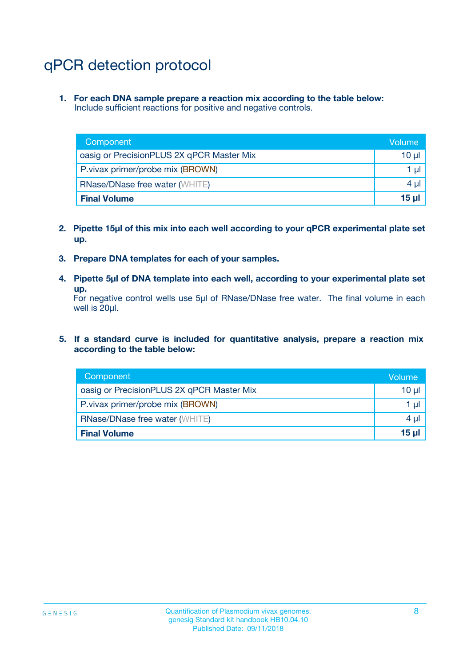# qPCR detection protocol

**1. For each DNA sample prepare a reaction mix according to the table below:** Include sufficient reactions for positive and negative controls.

| Component                                 | Volume          |
|-------------------------------------------|-----------------|
| oasig or PrecisionPLUS 2X qPCR Master Mix | 10 $\mu$        |
| P. vivax primer/probe mix (BROWN)         | 1 $\mu$         |
| <b>RNase/DNase free water (WHITE)</b>     | $4 \mu$         |
| <b>Final Volume</b>                       | 15 <sub>µ</sub> |

- **2. Pipette 15µl of this mix into each well according to your qPCR experimental plate set up.**
- **3. Prepare DNA templates for each of your samples.**
- **4. Pipette 5µl of DNA template into each well, according to your experimental plate set up.**

For negative control wells use 5µl of RNase/DNase free water. The final volume in each well is 20µl.

**5. If a standard curve is included for quantitative analysis, prepare a reaction mix according to the table below:**

| Component                                 | Volume     |
|-------------------------------------------|------------|
| oasig or PrecisionPLUS 2X qPCR Master Mix | 10 µl      |
| P. vivax primer/probe mix (BROWN)         | 1 µI       |
| <b>RNase/DNase free water (WHITE)</b>     | $4 \mu$    |
| <b>Final Volume</b>                       | $15$ $\mu$ |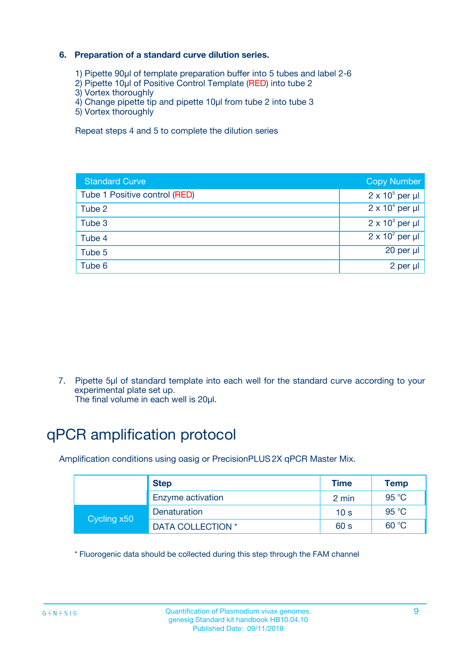### **6. Preparation of a standard curve dilution series.**

- 1) Pipette 90µl of template preparation buffer into 5 tubes and label 2-6
- 2) Pipette 10µl of Positive Control Template (RED) into tube 2
- 3) Vortex thoroughly
- 4) Change pipette tip and pipette 10µl from tube 2 into tube 3
- 5) Vortex thoroughly

Repeat steps 4 and 5 to complete the dilution series

| <b>Standard Curve</b>         | <b>Copy Number</b>     |
|-------------------------------|------------------------|
| Tube 1 Positive control (RED) | $2 \times 10^5$ per µl |
| Tube 2                        | $2 \times 10^4$ per µl |
| Tube 3                        | $2 \times 10^3$ per µl |
| Tube 4                        | $2 \times 10^2$ per µl |
| Tube 5                        | 20 per µl              |
| Tube 6                        | 2 per ul               |

7. Pipette 5µl of standard template into each well for the standard curve according to your experimental plate set up.

The final volume in each well is 20µl.

# qPCR amplification protocol

Amplification conditions using oasig or PrecisionPLUS2X qPCR Master Mix.

|             | <b>Step</b>       | <b>Time</b>     | Temp    |
|-------------|-------------------|-----------------|---------|
|             | Enzyme activation | 2 min           | 95 °C   |
| Cycling x50 | Denaturation      | 10 <sub>s</sub> | 95 $°C$ |
|             | DATA COLLECTION * | 60 s            | 60 °C   |

\* Fluorogenic data should be collected during this step through the FAM channel